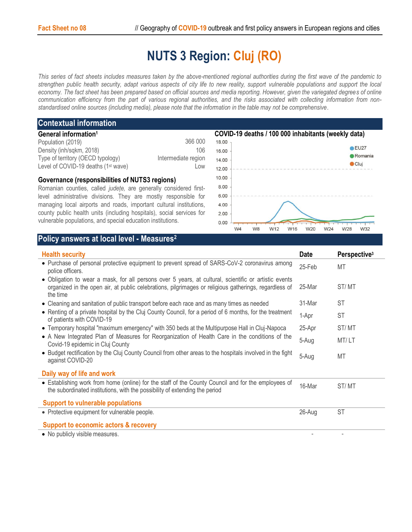## **NUTS 3 Region: Cluj (RO)**

*This series of fact sheets includes measures taken by the above-mentioned regional authorities during the first wave of the pandemic to strengthen public health security, adapt various aspects of city life to new reality, support vulnerable populations and support the local economy. The fact sheet has been prepared based on official sources and media reporting. However, given the variegated degrees of online communication efficiency from the part of various regional authorities, and the risks associated with collecting information from nonstandardised online sources (including media), please note that the information in the table may not be comprehensive*.

## **Contextual information**

| General information <sup>1</sup>                |                     |
|-------------------------------------------------|---------------------|
| Population (2019)                               | 366 000             |
| Density (inh/sqkm, 2018)                        | 106                 |
| Type of territory (OECD typology)               | Intermediate region |
| Level of COVID-19 deaths (1 <sup>st</sup> wave) | Low                 |
|                                                 |                     |

## **Governance (responsibilities of NUTS3 regions)**

Romanian counties, called *județe,* are generally considered firstlevel administrative divisions. They are mostly responsible for managing local airports and roads, important cultural institutions, county public health units (including hospitals), social services for vulnerable populations, and special education institutions.



## **Policy answers at local level - Measures<sup>2</sup>**

| <b>Health security</b>                                                                                                                                                                                                                                                                                                                                                | <b>Date</b> | Perspective <sup>3</sup> |
|-----------------------------------------------------------------------------------------------------------------------------------------------------------------------------------------------------------------------------------------------------------------------------------------------------------------------------------------------------------------------|-------------|--------------------------|
| • Purchase of personal protective equipment to prevent spread of SARS-CoV-2 coronavirus among<br>police officers.                                                                                                                                                                                                                                                     | 25-Feb      | MT                       |
| • Obligation to wear a mask, for all persons over 5 years, at cultural, scientific or artistic events<br>organized in the open air, at public celebrations, pilgrimages or religious gatherings, regardless of<br>the time                                                                                                                                            | 25-Mar      | ST/MT                    |
| • Cleaning and sanitation of public transport before each race and as many times as needed<br>• Renting of a private hospital by the Cluj County Council, for a period of 6 months, for the treatment<br>of patients with COVID-19                                                                                                                                    |             | <b>ST</b>                |
|                                                                                                                                                                                                                                                                                                                                                                       |             | <b>ST</b>                |
| • Temporary hospital "maximum emergency" with 350 beds at the Multipurpose Hall in Cluj-Napoca<br>• A New Integrated Plan of Measures for Reorganization of Health Care in the conditions of the<br>Covid-19 epidemic in Cluj County<br>• Budget rectification by the Cluj County Council from other areas to the hospitals involved in the fight<br>against COVID-20 |             | ST/MT                    |
|                                                                                                                                                                                                                                                                                                                                                                       |             | MT/LT                    |
|                                                                                                                                                                                                                                                                                                                                                                       |             | MT                       |
| Daily way of life and work                                                                                                                                                                                                                                                                                                                                            |             |                          |
| • Establishing work from home (online) for the staff of the County Council and for the employees of<br>the subordinated institutions, with the possibility of extending the period                                                                                                                                                                                    | 16-Mar      | ST/MT                    |
| <b>Support to vulnerable populations</b>                                                                                                                                                                                                                                                                                                                              |             |                          |
| • Protective equipment for vulnerable people.                                                                                                                                                                                                                                                                                                                         | 26-Aug      | <b>ST</b>                |
| <b>Support to economic actors &amp; recovery</b>                                                                                                                                                                                                                                                                                                                      |             |                          |
| • No publicly visible measures.                                                                                                                                                                                                                                                                                                                                       |             |                          |